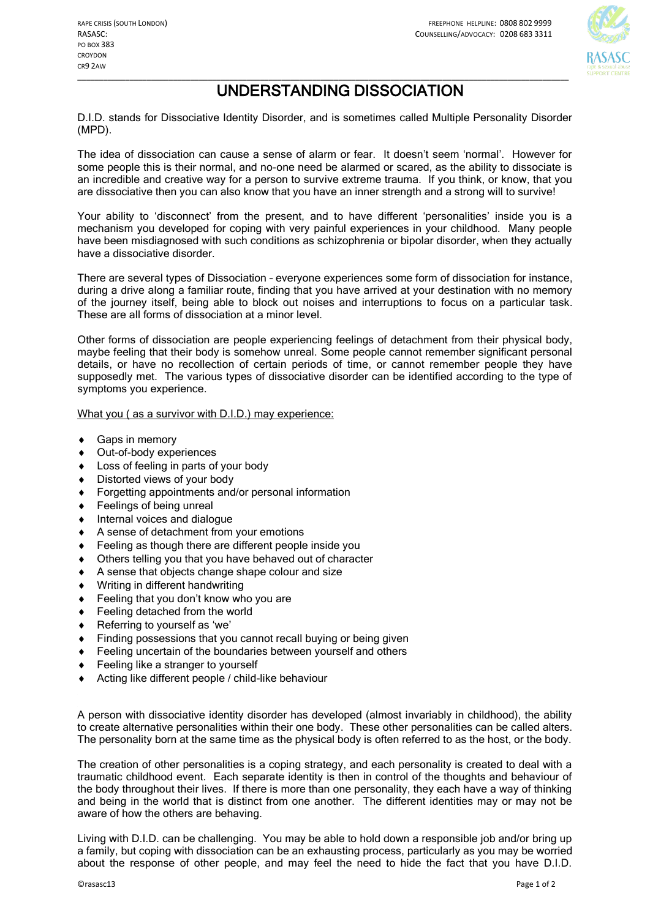

## \_\_\_\_\_\_\_\_\_\_\_\_\_\_\_\_\_\_\_\_\_\_\_\_\_\_\_\_\_\_\_\_\_\_\_\_\_\_\_\_\_\_\_\_\_\_\_\_\_\_\_\_\_\_\_\_\_\_\_\_\_\_\_\_\_\_\_\_\_\_\_\_\_\_\_\_\_\_\_\_\_\_\_\_\_\_\_\_\_\_\_\_\_\_\_\_\_\_\_\_\_\_\_\_\_\_\_\_\_\_\_\_\_ UNDERSTANDING DISSOCIATION

D.I.D. stands for Dissociative Identity Disorder, and is sometimes called Multiple Personality Disorder (MPD).

The idea of dissociation can cause a sense of alarm or fear. It doesn't seem 'normal'. However for some people this is their normal, and no-one need be alarmed or scared, as the ability to dissociate is an incredible and creative way for a person to survive extreme trauma. If you think, or know, that you are dissociative then you can also know that you have an inner strength and a strong will to survive!

Your ability to 'disconnect' from the present, and to have different 'personalities' inside you is a mechanism you developed for coping with very painful experiences in your childhood. Many people have been misdiagnosed with such conditions as schizophrenia or bipolar disorder, when they actually have a dissociative disorder.

There are several types of Dissociation – everyone experiences some form of dissociation for instance, during a drive along a familiar route, finding that you have arrived at your destination with no memory of the journey itself, being able to block out noises and interruptions to focus on a particular task. These are all forms of dissociation at a minor level.

Other forms of dissociation are people experiencing feelings of detachment from their physical body, maybe feeling that their body is somehow unreal. Some people cannot remember significant personal details, or have no recollection of certain periods of time, or cannot remember people they have supposedly met. The various types of dissociative disorder can be identified according to the type of symptoms you experience.

What you ( as a survivor with D.I.D.) may experience:

- Gaps in memory
- Out-of-body experiences
- Loss of feeling in parts of your body
- Distorted views of your body
- Forgetting appointments and/or personal information
- Feelings of being unreal
- Internal voices and dialogue
- A sense of detachment from your emotions
- Feeling as though there are different people inside you
- Others telling you that you have behaved out of character
- A sense that objects change shape colour and size
- Writing in different handwriting
- Feeling that you don't know who you are
- Feeling detached from the world
- Referring to yourself as 'we'
- Finding possessions that you cannot recall buying or being given
- Feeling uncertain of the boundaries between yourself and others
- Feeling like a stranger to yourself
- Acting like different people / child-like behaviour

A person with dissociative identity disorder has developed (almost invariably in childhood), the ability to create alternative personalities within their one body. These other personalities can be called alters. The personality born at the same time as the physical body is often referred to as the host, or the body.

The creation of other personalities is a coping strategy, and each personality is created to deal with a traumatic childhood event. Each separate identity is then in control of the thoughts and behaviour of the body throughout their lives. If there is more than one personality, they each have a way of thinking and being in the world that is distinct from one another. The different identities may or may not be aware of how the others are behaving.

Living with D.I.D. can be challenging. You may be able to hold down a responsible job and/or bring up a family, but coping with dissociation can be an exhausting process, particularly as you may be worried about the response of other people, and may feel the need to hide the fact that you have D.I.D.